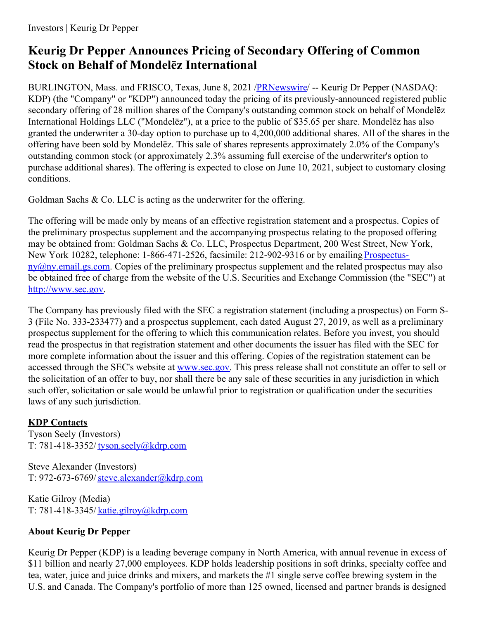# **Keurig Dr Pepper Announces Pricing of Secondary Offering of Common Stock on Behalf of Mondelēz International**

BURLINGTON, Mass. and FRISCO, Texas, June 8, 2021 [/PRNewswire](http://www.prnewswire.com/)/ -- Keurig Dr Pepper (NASDAQ: KDP) (the "Company" or "KDP") announced today the pricing of its previously-announced registered public secondary offering of 28 million shares of the Company's outstanding common stock on behalf of Mondelēz International Holdings LLC ("Mondelēz"), at a price to the public of \$35.65 per share. Mondelēz has also granted the underwriter a 30-day option to purchase up to 4,200,000 additional shares. All of the shares in the offering have been sold by Mondelēz. This sale of shares represents approximately 2.0% of the Company's outstanding common stock (or approximately 2.3% assuming full exercise of the underwriter's option to purchase additional shares). The offering is expected to close on June 10, 2021, subject to customary closing conditions.

Goldman Sachs & Co. LLC is acting as the underwriter for the offering.

The offering will be made only by means of an effective registration statement and a prospectus. Copies of the preliminary prospectus supplement and the accompanying prospectus relating to the proposed offering may be obtained from: Goldman Sachs & Co. LLC, Prospectus Department, 200 West Street, New York, New York 10282, telephone: 1-866-471-2526, facsimile: 212-902-9316 or by emailing Prospectus $nv@ny. email.g.s.com.$  Copies of the preliminary prospectus supplement and the related prospectus may also be obtained free of charge from the website of the U.S. Securities and Exchange Commission (the "SEC") at [http://www.sec.gov](https://c212.net/c/link/?t=0&l=en&o=3188994-1&h=3262280997&u=http%3A%2F%2Fwww.sec.gov%2F&a=http%3A%2F%2Fwww.sec.gov).

The Company has previously filed with the SEC a registration statement (including a prospectus) on Form S-3 (File No. 333-233477) and a prospectus supplement, each dated August 27, 2019, as well as a preliminary prospectus supplement for the offering to which this communication relates. Before you invest, you should read the prospectus in that registration statement and other documents the issuer has filed with the SEC for more complete information about the issuer and this offering. Copies of the registration statement can be accessed through the SEC's website at [www.sec.gov](https://c212.net/c/link/?t=0&l=en&o=3188994-1&h=2034629169&u=https%3A%2F%2Fprndl2-irisxe2.prnewswire.local%2FUsers%2Fkapatter%2FAppData%2FRoaming%2FOpenText%2FDM%2FTemp%2Fwww.sec.gov&a=www.sec.gov). This press release shall not constitute an offer to sell or the solicitation of an offer to buy, nor shall there be any sale of these securities in any jurisdiction in which such offer, solicitation or sale would be unlawful prior to registration or qualification under the securities laws of any such jurisdiction.

## **KDP Contacts**

Tyson Seely (Investors) T: 781-418-3352/ [tyson.seely@kdrp.com](mailto:tyson.seely@kdrp.com)

Steve Alexander (Investors) T: 972-673-6769/[steve.alexander@kdrp.com](mailto:steve.alexander@kdrp.com)

Katie Gilroy (Media) T: 781-418-3345/ [katie.gilroy@kdrp.com](mailto:katie.gilroy@kdrp.com)

## **About Keurig Dr Pepper**

Keurig Dr Pepper (KDP) is a leading beverage company in North America, with annual revenue in excess of \$11 billion and nearly 27,000 employees. KDP holds leadership positions in soft drinks, specialty coffee and tea, water, juice and juice drinks and mixers, and markets the #1 single serve coffee brewing system in the U.S. and Canada. The Company's portfolio of more than 125 owned, licensed and partner brands is designed